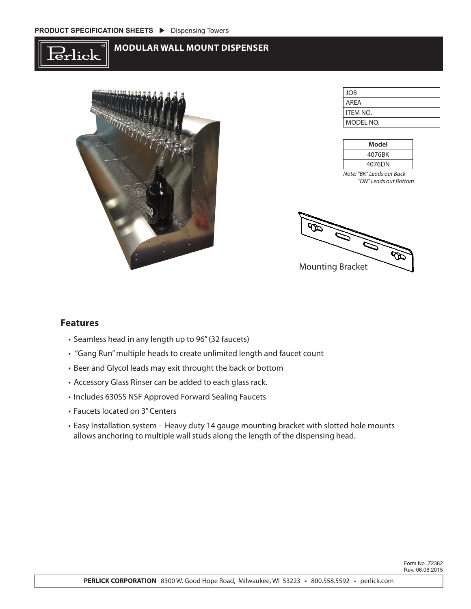



JOB AREA ITEM NO. MODEL NO.

| Model  |  |
|--------|--|
| 4076BK |  |
| 4076DN |  |

*Note: "BK" Leads out Back "DN" Leads out Bottom*

45 Mounting Bracket

## **Features**

- Seamless head in any length up to 96" (32 faucets)
- "Gang Run" multiple heads to create unlimited length and faucet count
- Beer and Glycol leads may exit throught the back or bottom
- Accessory Glass Rinser can be added to each glass rack.
- Includes 630SS NSF Approved Forward Sealing Faucets
- Faucets located on 3" Centers
- Easy Installation system Heavy duty 14 gauge mounting bracket with slotted hole mounts allows anchoring to multiple wall studs along the length of the dispensing head.

Form No. Z2382 Rev. 06.08.2015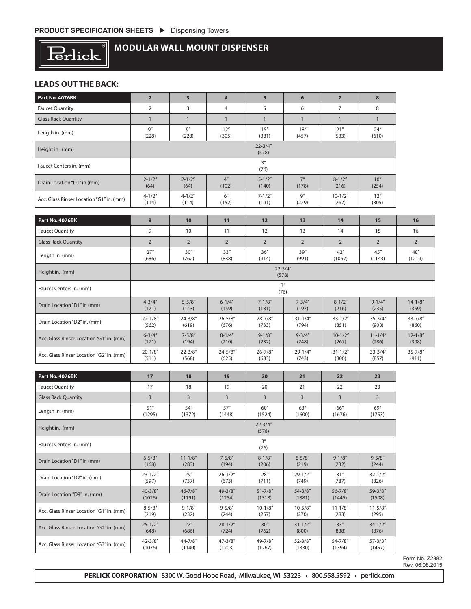

# **MODULAR WALL MOUNT DISPENSER**

### **LEADS OUT THE BACK:**

| Part No. 4076BK                          | $\overline{2}$        | 3                                                                            | 4                        | 5                     | 6                     | $\overline{7}$         | 8                     |                       |  |
|------------------------------------------|-----------------------|------------------------------------------------------------------------------|--------------------------|-----------------------|-----------------------|------------------------|-----------------------|-----------------------|--|
| <b>Faucet Quantity</b>                   | $\overline{2}$        | 3                                                                            | $\overline{4}$           | 5                     | 6                     | $\overline{7}$         | 8                     |                       |  |
| <b>Glass Rack Quantity</b>               | $\mathbf{1}$          | $\mathbf{1}$                                                                 | $\mathbf{1}$             | $\mathbf{1}$          | $\mathbf{1}$          | $\mathbf{1}$           | $\mathbf{1}$          |                       |  |
| Length in. (mm)                          | 9''<br>(228)          | 9''<br>(228)                                                                 | 12''<br>(305)            | 15''<br>(381)         | 18''<br>(457)         | 21''<br>(533)          | 24''<br>(610)         |                       |  |
| Height in. (mm)                          |                       |                                                                              |                          | $22 - 3/4"$<br>(578)  |                       |                        |                       |                       |  |
| Faucet Centers in. (mm)                  |                       |                                                                              |                          | 3''<br>(76)           |                       |                        |                       |                       |  |
| Drain Location "D1" in (mm)              | $2 - 1/2"$<br>(64)    | $2 - 1/2"$<br>(64)                                                           | 4 <sup>''</sup><br>(102) | $5 - 1/2"$<br>(140)   | 7''<br>(178)          | $8 - 1/2"$<br>(216)    | 10''<br>(254)         |                       |  |
| Acc. Glass Rinser Location "G1" in. (mm) | $4 - 1/2"$<br>(114)   | $4 - 1/2"$<br>(114)                                                          | 6''<br>(152)             | $7 - 1/2"$<br>(191)   | 9''<br>(229)          | $10 - 1/2"$<br>(267)   | 12''<br>(305)         |                       |  |
| Part No. 4076BK                          | 9                     | 10                                                                           | 11                       | 12                    | 13                    | 14                     | 15                    | 16                    |  |
| <b>Faucet Quantity</b>                   | 9                     | 10                                                                           | 11                       | 12                    | 13                    | 14                     | 15                    | 16                    |  |
| <b>Glass Rack Quantity</b>               | $\overline{2}$        | $\overline{2}$                                                               | $\overline{2}$           | $\overline{2}$        | $\overline{2}$        | $\overline{2}$         | $\overline{2}$        | $\overline{2}$        |  |
| Length in. (mm)                          | 27''                  | 30''                                                                         | 33''                     | 36''                  | 39''                  | 42''                   | 45"                   | 48"<br>(1219)         |  |
| Height in. (mm)                          |                       | (686)<br>(762)<br>(838)<br>(914)<br>(991)<br>(1067)<br>(1143)<br>$22 - 3/4"$ |                          |                       |                       |                        |                       |                       |  |
| Faucet Centers in. (mm)                  | (578)<br>3''<br>(76)  |                                                                              |                          |                       |                       |                        |                       |                       |  |
| Drain Location "D1" in (mm)              | $4 - 3/4''$<br>(121)  | $5 - 5/8"$<br>(143)                                                          | $6 - 1/4"$<br>(159)      | $7 - 1/8"$<br>(181)   | $7 - 3/4"$<br>(197)   | $8 - 1/2"$<br>(216)    | $9 - 1/4''$<br>(235)  | $14 - 1/8"$<br>(359)  |  |
| Drain Location "D2" in. (mm)             | $22 - 1/8"$<br>(562)  | $24 - 3/8"$<br>(619)                                                         | $26 - 5/8"$<br>(676)     | $28 - 7/8$ "<br>(733) | $31 - 1/4"$<br>(794)  | $33 - 1/2"$<br>(851)   | $35 - 3/4"$<br>(908)  | $33 - 7/8''$<br>(860) |  |
| Acc. Glass Rinser Location "G1" in. (mm) | $6 - 3/4''$<br>(171)  | $7 - 5/8"$<br>(194)                                                          | $8 - 1/4"$<br>(210)      | $9 - 1/8''$<br>(232)  | $9 - 3/4''$<br>(248)  | $10-1/2"$<br>(267)     | $11 - 1/4"$<br>(286)  | $12 - 1/8"$<br>(308)  |  |
| Acc. Glass Rinser Location "G2" in. (mm) | $20 - 1/8"$<br>(511)  | $22 - 3/8"$<br>(568)                                                         | $24 - 5/8"$<br>(625)     | $26 - 7/8"$<br>(683)  | $29 - 1/4"$<br>(743)  | $31 - 1/2"$<br>(800)   | $33 - 3/4"$<br>(857)  | $35 - 7/8"$<br>(911)  |  |
|                                          |                       |                                                                              |                          |                       |                       |                        |                       |                       |  |
| Part No. 4076BK                          | 17                    | 18                                                                           | 19                       | 20                    | 21                    | 22                     | 23                    |                       |  |
| <b>Faucet Quantity</b>                   | 17                    | 18                                                                           | 19                       | 20                    | 21                    | 22                     | 23                    |                       |  |
| <b>Glass Rack Quantity</b>               | $\overline{3}$        | 3                                                                            | 3                        | $\overline{3}$        | $\overline{3}$        | $\overline{3}$         | 3                     |                       |  |
| Length in. (mm)                          | 51"<br>(1295)         | 54"<br>(1372)                                                                | 57''<br>(1448)           | 60"<br>(1524)         | 63''<br>(1600)        | 66"<br>(1676)          | 69"<br>(1753)         |                       |  |
| Height in. (mm)                          | $22 - 3/4"$<br>(578)  |                                                                              |                          |                       |                       |                        |                       |                       |  |
| Faucet Centers in. (mm)                  | 3''<br>(76)           |                                                                              |                          |                       |                       |                        |                       |                       |  |
| Drain Location "D1" in (mm)              | $6 - 5/8"$<br>(168)   | $11 - 1/8"$<br>(283)                                                         | $7 - 5/8"$<br>(194)      | $8 - 1/8"$<br>(206)   | $8 - 5/8"$<br>(219)   | $9 - 1/8"$<br>(232)    | $9 - 5/8"$<br>(244)   |                       |  |
| Drain Location "D2" in. (mm)             | $23 - 1/2"$<br>(597)  | 29''<br>(737)                                                                | $26 - 1/2"$<br>(673)     | 28''<br>(711)         | $29 - 1/2"$<br>(749)  | 31"<br>(787)           | $32 - 1/2"$<br>(826)  |                       |  |
| Drain Location "D3" in. (mm)             | $40 - 3/8"$<br>(1026) | $46 - 7/8$ "<br>(1191)                                                       | 49-3/8"<br>(1254)        | $51 - 7/8"$<br>(1318) | $54 - 3/8"$<br>(1381) | $56 - 7/8"$<br>(1445)  | $59 - 3/8"$<br>(1508) |                       |  |
| Acc. Glass Rinser Location "G1" in. (mm) | $8 - 5/8"$<br>(219)   | $9 - 1/8''$<br>(232)                                                         | $9 - 5/8''$<br>(244)     | $10 - 1/8"$<br>(257)  | $10 - 5/8"$<br>(270)  | $11 - 1/8"$<br>(283)   | $11 - 5/8"$<br>(295)  |                       |  |
| Acc. Glass Rinser Location "G2" in. (mm) | $25 - 1/2"$<br>(648)  | 27''<br>(686)                                                                | $28 - 1/2"$<br>(724)     | 30''<br>(762)         | $31 - 1/2"$<br>(800)  | 33''<br>(838)          | $34 - 1/2"$<br>(876)  |                       |  |
| Acc. Glass Rinser Location "G3" in. (mm) | $42 - 3/8"$<br>(1076) | $44 - 7/8$ "<br>(1140)                                                       | $47 - 3/8"$<br>(1203)    | 49-7/8"<br>(1267)     | $52 - 3/8"$<br>(1330) | $54 - 7/8$ "<br>(1394) | $57 - 3/8"$<br>(1457) |                       |  |

Form No. Z2382 Rev. 06.08.2015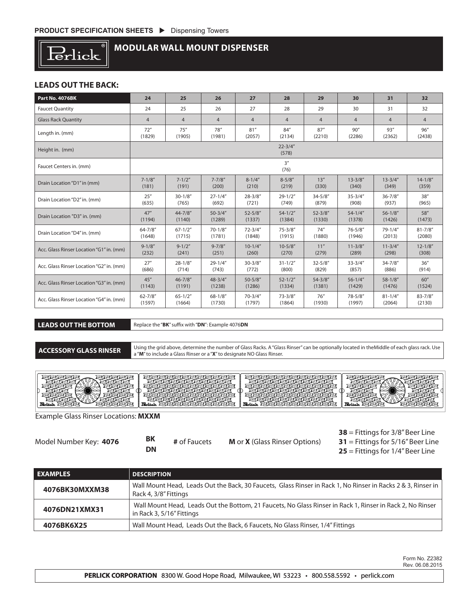

# **MODULAR WALL MOUNT DISPENSER**

#### **LEADS OUT THE BACK:**

| Part No. 4076BK                          | 24             | 25                   | 26             | 27             | 28             | 29             | 30             | 31             | 32             |
|------------------------------------------|----------------|----------------------|----------------|----------------|----------------|----------------|----------------|----------------|----------------|
| <b>Faucet Quantity</b>                   | 24             | 25                   | 26             | 27             | 28             | 29             | 30             | 31             | 32             |
| <b>Glass Rack Quantity</b>               | $\overline{4}$ | $\overline{4}$       | $\overline{4}$ | $\overline{4}$ | $\overline{4}$ | $\overline{4}$ | $\overline{4}$ | $\overline{4}$ | $\overline{4}$ |
| Length in. (mm)                          | 72"            | 75''                 | 78"            | 81''           | 84"            | 87''           | 90''           | 93''           | 96''           |
|                                          | (1829)         | (1905)               | (1981)         | (2057)         | (2134)         | (2210)         | (2286)         | (2362)         | (2438)         |
| Height in. (mm)                          |                | $22 - 3/4"$<br>(578) |                |                |                |                |                |                |                |
| Faucet Centers in. (mm)                  |                | 3''<br>(76)          |                |                |                |                |                |                |                |
| Drain Location "D1" in (mm)              | $7 - 1/8''$    | $7 - 1/2"$           | $7 - 7/8''$    | $8 - 1/4"$     | $8 - 5/8"$     | 13''           | $13 - 3/8"$    | $13 - 3/4"$    | $14 - 1/8"$    |
|                                          | (181)          | (191)                | (200)          | (210)          | (219)          | (330)          | (340)          | (349)          | (359)          |
| Drain Location "D2" in. (mm)             | 25''           | $30 - 1/8"$          | $27 - 1/4"$    | $28 - 3/8"$    | $29 - 1/2"$    | $34 - 5/8''$   | $35 - 3/4"$    | $36 - 7/8$ "   | 38''           |
|                                          | (635)          | (765)                | (692)          | (721)          | (749)          | (879)          | (908)          | (937)          | (965)          |
| Drain Location "D3" in. (mm)             | 47''           | $44 - 7/8''$         | $50 - 3/4"$    | $52 - 5/8"$    | $54 - 1/2"$    | $52 - 3/8"$    | $54 - 1/4$ "   | $56 - 1/8$ "   | 58"            |
|                                          | (1194)         | (1140)               | (1289)         | (1337)         | (1384)         | (1330)         | (1378)         | (1426)         | (1473)         |
| Drain Location "D4" in. (mm)             | $64 - 7/8$ "   | $67 - 1/2"$          | $70 - 1/8"$    | $72 - 3/4"$    | $75 - 3/8"$    | 74''           | $76 - 5/8"$    | $79 - 1/4''$   | $81 - 7/8''$   |
|                                          | (1648)         | (1715)               | (1781)         | (1848)         | (1915)         | (1880)         | (1946)         | (2013)         | (2080)         |
| Acc. Glass Rinser Location "G1" in. (mm) | $9 - 1/8''$    | $9 - 1/2"$           | $9 - 7/8''$    | $10-1/4"$      | $10 - 5/8"$    | 11"            | $11 - 3/8"$    | $11 - 3/4"$    | $12 - 1/8"$    |
|                                          | (232)          | (241)                | (251)          | (260)          | (270)          | (279)          | (289)          | (298)          | (308)          |
| Acc. Glass Rinser Location "G2" in. (mm) | 27''           | $28 - 1/8"$          | $29 - 1/4''$   | $30 - 3/8"$    | $31 - 1/2"$    | $32 - 5/8''$   | $33 - 3/4"$    | $34 - 7/8''$   | 36''           |
|                                          | (686)          | (714)                | (743)          | (772)          | (800)          | (829)          | (857)          | (886)          | (914)          |
| Acc. Glass Rinser Location "G3" in. (mm) | 45''           | $46 - 7/8''$         | $48 - 3/4"$    | $50 - 5/8"$    | $52 - 1/2"$    | $54 - 3/8''$   | $56 - 1/4"$    | $58 - 1/8$ "   | 60''           |
|                                          | (1143)         | (1191)               | (1238)         | (1286)         | (1334)         | (1381)         | (1429)         | (1476)         | (1524)         |
| Acc. Glass Rinser Location "G4" in. (mm) | $62 - 7/8''$   | $65 - 1/2"$          | $68 - 1/8$ "   | $70 - 3/4"$    | $73 - 3/8''$   | 76''           | $78 - 5/8$ "   | $81 - 1/4"$    | $83 - 7/8''$   |
|                                          | (1597)         | (1664)               | (1730)         | (1797)         | (1864)         | (1930)         | (1997)         | (2064)         | (2130)         |

**LEADS OUT THE BOTTOM** Replace the "**BK**" suffix with "**DN**": Example 4076**DN**

**ACCESSORY GLASS RINSER** Using the grid above, determine the number of Glass Racks. A "Glass Rinser" can be optionally located in theMiddle of each glass rack. Use a "**M**" to include a Glass Rinser or a "**X**" to designate NO Glass Rinser.



Example Glass Rinser Locations: **MXXM**

| Model Number Key: 4076 | BK | # of Faucets | <b>M</b> or <b>X</b> (Glass Rinser Options) |
|------------------------|----|--------------|---------------------------------------------|
|                        | DN |              |                                             |

**38** = Fittings for 3/8" Beer Line **31** = Fittings for 5/16" Beer Line **25** = Fittings for 1/4" Beer Line

| <b>EXAMPLES</b> | <b>DESCRIPTION</b>                                                                                                                     |
|-----------------|----------------------------------------------------------------------------------------------------------------------------------------|
| 4076BK30MXXM38  | Wall Mount Head, Leads Out the Back, 30 Faucets, Glass Rinser in Rack 1, No Rinser in Racks 2 & 3, Rinser in<br>Rack 4, 3/8" Fittings  |
| 4076DN21XMX31   | Wall Mount Head, Leads Out the Bottom, 21 Faucets, No Glass Rinser in Rack 1, Rinser in Rack 2, No Rinser<br>in Rack 3, 5/16" Fittings |
| 4076BK6X25      | Wall Mount Head, Leads Out the Back, 6 Faucets, No Glass Rinser, 1/4" Fittings                                                         |